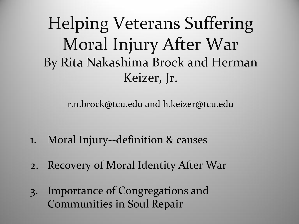Helping Veterans Suffering Moral Injury After War By Rita Nakashima Brock and Herman Keizer, Jr.

r.n.brock@tcu.edu and h.keizer@tcu.edu

- 1. Moral Injury--definition & causes
- 2. Recovery of Moral Identity After War
- 3. Importance of Congregations and Communities in Soul Repair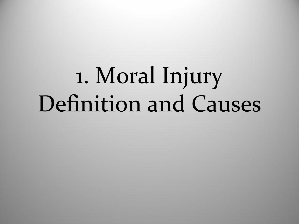# 1. Moral Injury Definition and Causes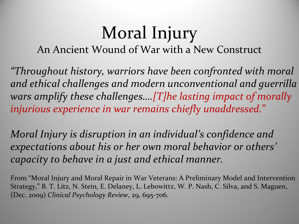## Moral Injury

An Ancient Wound of War with a New Construct

*"Throughout history, warriors have been confronted with moral and ethical challenges and modern unconventional and guerrilla wars amplify these challenges….[T]he lasting impact of morally injurious experience in war remains chiefly unaddressed.*"

*Moral Injury is disruption in an individual's confidence and expectations about his or her own moral behavior or others' capacity to behave in a just and ethical manner.*

From "Moral Injury and Moral Repair in War Veterans: A Preliminary Model and Intervention Strategy," B. T. Litz, N. Stein, E. Delaney, L. Lebowittz, W. P. Nash, C. Silva, and S. Maguen, (Dec. 2009) *Clinical Psychology Review*, 29, 695-706.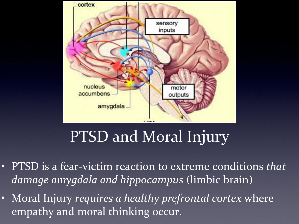

#### PTSD and Moral Injury

- PTSD is a fear-victim reaction to extreme conditions *that damage amygdala and hippocampus* (limbic brain)
- Moral Injury *requires a healthy prefrontal cortex* where empathy and moral thinking occur.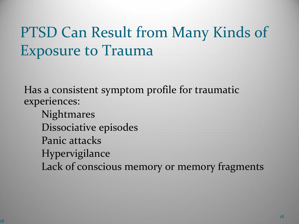#### PTSD Can Result from Many Kinds of Exposure to Trauma

Has a consistent symptom profile for traumatic experiences:

Nightmares Dissociative episodes Panic attacks Hypervigilance Lack of conscious memory or memory fragments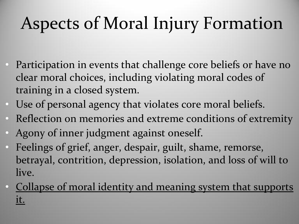## Aspects of Moral Injury Formation

- Participation in events that challenge core beliefs or have no clear moral choices, including violating moral codes of training in a closed system.
- Use of personal agency that violates core moral beliefs.
- Reflection on memories and extreme conditions of extremity
- Agony of inner judgment against oneself.
- Feelings of grief, anger, despair, guilt, shame, remorse, betrayal, contrition, depression, isolation, and loss of will to live.
- Collapse of moral identity and meaning system that supports it.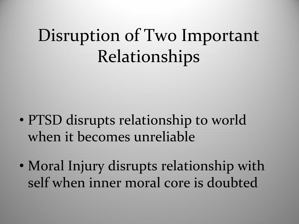## Disruption of Two Important Relationships

- PTSD disrupts relationship to world when it becomes unreliable
- Moral Injury disrupts relationship with self when inner moral core is doubted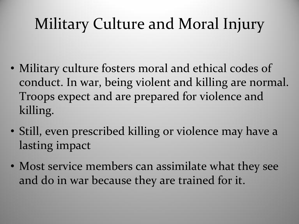#### Military Culture and Moral Injury

- Military culture fosters moral and ethical codes of conduct. In war, being violent and killing are normal. Troops expect and are prepared for violence and killing.
- Still, even prescribed killing or violence may have a lasting impact
- Most service members can assimilate what they see and do in war because they are trained for it.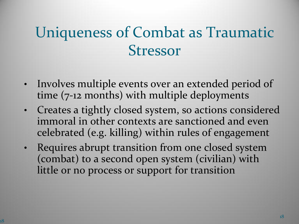#### Uniqueness of Combat as Traumatic Stressor

- Involves multiple events over an extended period of time (7-12 months) with multiple deployments
- Creates a tightly closed system, so actions considered immoral in other contexts are sanctioned and even celebrated (e.g. killing) within rules of engagement
- Requires abrupt transition from one closed system (combat) to a second open system (civilian) with little or no process or support for transition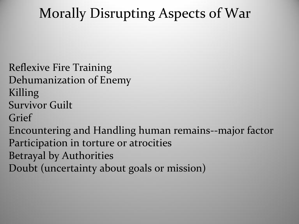#### Morally Disrupting Aspects of War

Reflexive Fire Training Dehumanization of Enemy Killing Survivor Guilt Grief Encountering and Handling human remains--major factor Participation in torture or atrocities Betrayal by Authorities

Doubt (uncertainty about goals or mission)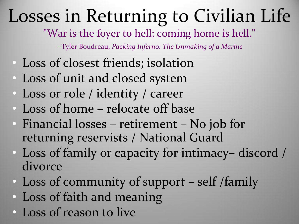## Losses in Returning to Civilian Life

"War is the foyer to hell; coming home is hell."

--Tyler Boudreau, *Packing Inferno: The Unmaking of a Marine* 

- Loss of closest friends; isolation
- Loss of unit and closed system
- Loss or role / identity / career
- Loss of home relocate off base
- Financial losses retirement No job for returning reservists / National Guard
- Loss of family or capacity for intimacy– discord / divorce
- Loss of community of support self /family
- Loss of faith and meaning
- Loss of reason to live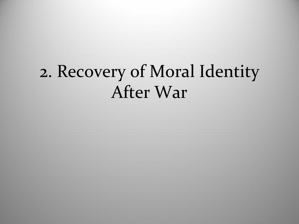## 2. Recovery of Moral Identity After War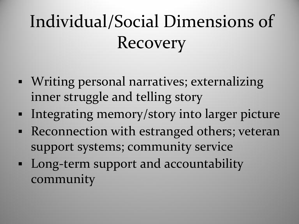## Individual/Social Dimensions of Recovery

- Writing personal narratives; externalizing inner struggle and telling story
- **Integrating memory/story into larger picture**
- Reconnection with estranged others; veteran support systems; community service
- Long-term support and accountability community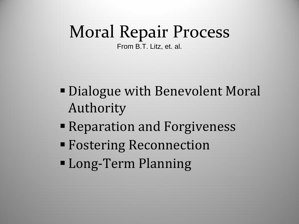## Moral Repair Process

From B.T. Litz, et. al.

- Dialogue with Benevolent Moral Authority
- Reparation and Forgiveness
- Fostering Reconnection
- Long-Term Planning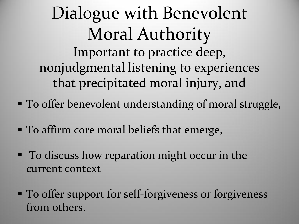#### Dialogue with Benevolent Moral Authority Important to practice deep, nonjudgmental listening to experiences that precipitated moral injury, and

- **To offer benevolent understanding of moral struggle,**
- To affirm core moral beliefs that emerge,
- **To discuss how reparation might occur in the** current context
- **To offer support for self-forgiveness or forgiveness** from others.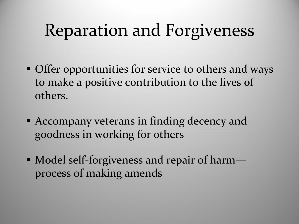## Reparation and Forgiveness

- **Offer opportunities for service to others and ways** to make a positive contribution to the lives of others.
- Accompany veterans in finding decency and goodness in working for others
- Model self-forgiveness and repair of harm process of making amends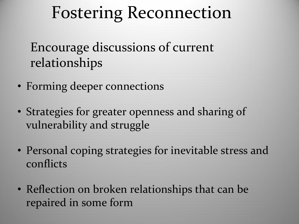## Fostering Reconnection

Encourage discussions of current relationships

- Forming deeper connections
- Strategies for greater openness and sharing of vulnerability and struggle
- Personal coping strategies for inevitable stress and conflicts
- Reflection on broken relationships that can be repaired in some form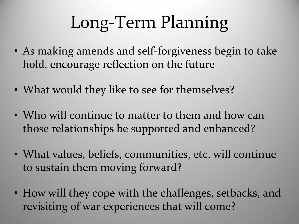## Long-Term Planning

- As making amends and self-forgiveness begin to take hold, encourage reflection on the future
- What would they like to see for themselves?
- Who will continue to matter to them and how can those relationships be supported and enhanced?
- What values, beliefs, communities, etc. will continue to sustain them moving forward?
- How will they cope with the challenges, setbacks, and revisiting of war experiences that will come?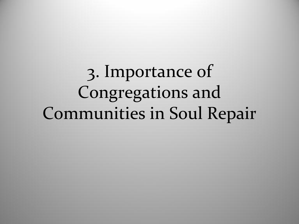3. Importance of Congregations and Communities in Soul Repair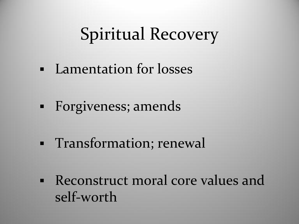### Spiritual Recovery

- Lamentation for losses
- Forgiveness; amends
- Transformation; renewal
- Reconstruct moral core values and self-worth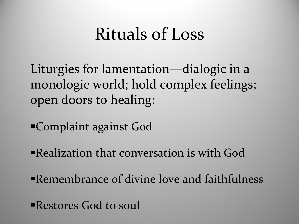#### Rituals of Loss

Liturgies for lamentation—dialogic in a monologic world; hold complex feelings; open doors to healing:

Complaint against God

Realization that conversation is with God

Remembrance of divine love and faithfulness

Restores God to soul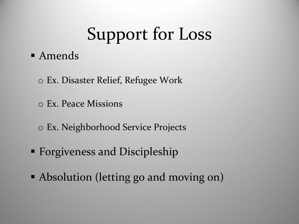## Support for Loss

#### Amends

- o Ex. Disaster Relief, Refugee Work
- o Ex. Peace Missions
- o Ex. Neighborhood Service Projects
- **Forgiveness and Discipleship**
- Absolution (letting go and moving on)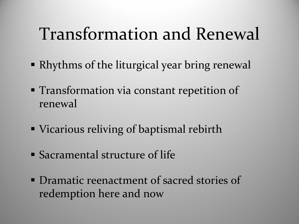## Transformation and Renewal

- Rhythms of the liturgical year bring renewal
- **Transformation via constant repetition of** renewal
- **Vicarious reliving of baptismal rebirth**
- Sacramental structure of life
- **Dramatic reenactment of sacred stories of** redemption here and now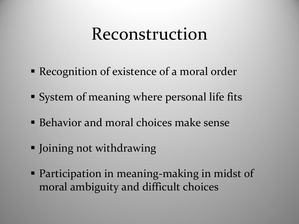#### Reconstruction

- **Recognition of existence of a moral order**
- **System of meaning where personal life fits**
- Behavior and moral choices make sense
- Joining not withdrawing
- **Participation in meaning-making in midst of** moral ambiguity and difficult choices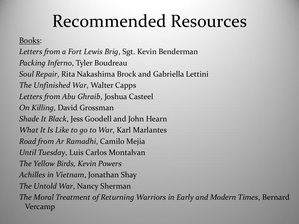### Recommended Resources

Books:

*Letters from a Fort Lewis Brig*, Sgt. Kevin Benderman *Packing Inferno*, Tyler Boudreau *Soul Repair*, Rita Nakashima Brock and Gabriella Lettini *The Unfinished War*, Walter Capps *Letters from Abu Ghraib*, Joshua Casteel *On Killing*, David Grossman *Shade It Black*, Jess Goodell and John Hearn *What It Is Like to go to War*, Karl Marlantes *Road from Ar Ramadhi*, Camilo Mejia *Until Tuesday*, Luis Carlos Montalvan *The Yellow Birds, Kevin Powers Achilles in Vietnam*, Jonathan Shay *The Untold War*, Nancy Sherman *The Moral Treatment of Returning Warriors in Early and Modern Times*, Bernard Vercamp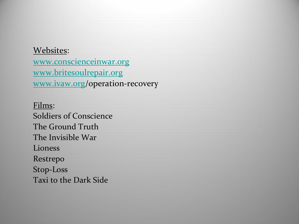#### Websites:

[www.conscienceinwar.org](http://www.conscienceinwar.org) [www.britesoulrepair.org](http://www.britesoulrepair.org/) [www.ivaw.org/](http://www.ivaw.org)operation-recovery

Films: Soldiers of Conscience The Ground Truth The Invisible War Lioness Restrepo Stop-Loss Taxi to the Dark Side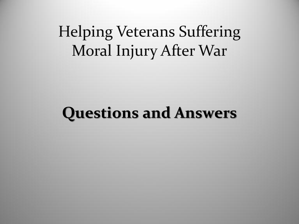#### Helping Veterans Suffering Moral Injury After War

#### **Questions and Answers**